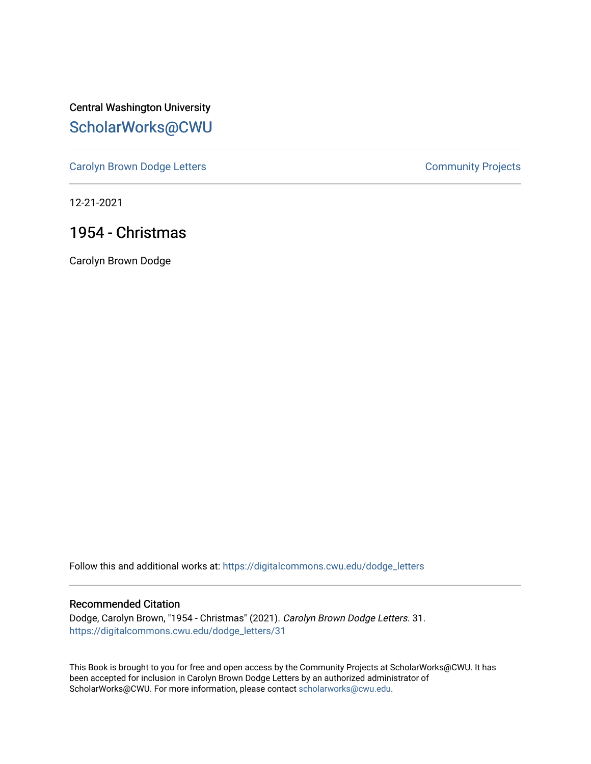Central Washington University [ScholarWorks@CWU](https://digitalcommons.cwu.edu/) 

[Carolyn Brown Dodge Letters](https://digitalcommons.cwu.edu/dodge_letters) **Carolyn Brown Dodge Letters Community Projects** 

12-21-2021

## 1954 - Christmas

Carolyn Brown Dodge

Follow this and additional works at: [https://digitalcommons.cwu.edu/dodge\\_letters](https://digitalcommons.cwu.edu/dodge_letters?utm_source=digitalcommons.cwu.edu%2Fdodge_letters%2F31&utm_medium=PDF&utm_campaign=PDFCoverPages) 

## Recommended Citation

Dodge, Carolyn Brown, "1954 - Christmas" (2021). Carolyn Brown Dodge Letters. 31. [https://digitalcommons.cwu.edu/dodge\\_letters/31](https://digitalcommons.cwu.edu/dodge_letters/31?utm_source=digitalcommons.cwu.edu%2Fdodge_letters%2F31&utm_medium=PDF&utm_campaign=PDFCoverPages)

This Book is brought to you for free and open access by the Community Projects at ScholarWorks@CWU. It has been accepted for inclusion in Carolyn Brown Dodge Letters by an authorized administrator of ScholarWorks@CWU. For more information, please contact [scholarworks@cwu.edu](mailto:scholarworks@cwu.edu).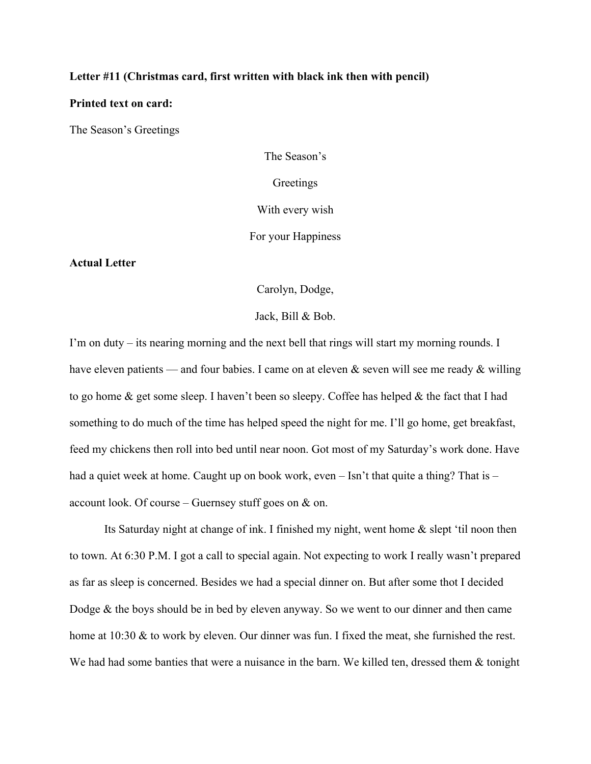## **Letter #11 (Christmas card, first written with black ink then with pencil)**

## **Printed text on card:**

The Season's Greetings

The Season's **Greetings** With every wish For your Happiness

**Actual Letter**

Carolyn, Dodge,

Jack, Bill & Bob.

I'm on duty – its nearing morning and the next bell that rings will start my morning rounds. I have eleven patients — and four babies. I came on at eleven & seven will see me ready & willing to go home & get some sleep. I haven't been so sleepy. Coffee has helped & the fact that I had something to do much of the time has helped speed the night for me. I'll go home, get breakfast, feed my chickens then roll into bed until near noon. Got most of my Saturday's work done. Have had a quiet week at home. Caught up on book work, even – Isn't that quite a thing? That is – account look. Of course – Guernsey stuff goes on  $\&$  on.

Its Saturday night at change of ink. I finished my night, went home & slept 'til noon then to town. At 6:30 P.M. I got a call to special again. Not expecting to work I really wasn't prepared as far as sleep is concerned. Besides we had a special dinner on. But after some thot I decided Dodge & the boys should be in bed by eleven anyway. So we went to our dinner and then came home at 10:30 & to work by eleven. Our dinner was fun. I fixed the meat, she furnished the rest. We had had some banties that were a nuisance in the barn. We killed ten, dressed them & tonight